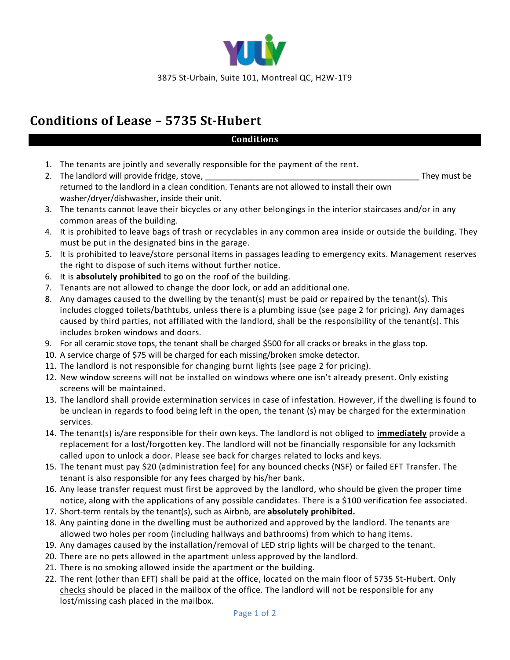

## **Conditions of Lease – 5735 St-Hubert**

## **Conditions**

- 1. The tenants are jointly and severally responsible for the payment of the rent.
- 2. The landlord will provide fridge, stove, the contract of the contract of the contract of the contract of the contract of the contract of the contract of the contract of the contract of the contract of the contract of th returned to the landlord in a clean condition. Tenants are not allowed to install their own washer/dryer/dishwasher, inside their unit.
- 3. The tenants cannot leave their bicycles or any other belongings in the interior staircases and/or in any common areas of the building.
- 4. It is prohibited to leave bags of trash or recyclables in any common area inside or outside the building. They must be put in the designated bins in the garage.
- 5. It is prohibited to leave/store personal items in passages leading to emergency exits. Management reserves the right to dispose of such items without further notice.
- 6. It is **absolutely prohibited** to go on the roof of the building.
- 7. Tenants are not allowed to change the door lock, or add an additional one.
- 8. Any damages caused to the dwelling by the tenant(s) must be paid or repaired by the tenant(s). This includes clogged toilets/bathtubs, unless there is a plumbing issue (see page 2 for pricing). Any damages caused by third parties, not affiliated with the landlord, shall be the responsibility of the tenant(s). This includes broken windows and doors.
- 9. For all ceramic stove tops, the tenant shall be charged \$500 for all cracks or breaks in the glass top.
- 10. A service charge of \$75 will be charged for each missing/broken smoke detector.
- 11. The landlord is not responsible for changing burnt lights (see page 2 for pricing).
- 12. New window screens will not be installed on windows where one isn't already present. Only existing screens will be maintained.
- 13. The landlord shall provide extermination services in case of infestation. However, if the dwelling is found to be unclean in regards to food being left in the open, the tenant (s) may be charged for the extermination services.
- 14. The tenant(s) is/are responsible for their own keys. The landlord is not obliged to **immediately** provide a replacement for a lost/forgotten key. The landlord will not be financially responsible for any locksmith called upon to unlock a door. Please see back for charges related to locks and keys.
- 15. The tenant must pay \$20 (administration fee) for any bounced checks (NSF) or failed EFT Transfer. The tenant is also responsible for any fees charged by his/her bank.
- 16. Any lease transfer request must first be approved by the landlord, who should be given the proper time notice, along with the applications of any possible candidates. There is a \$100 verification fee associated.
- 17. Short-term rentals by the tenant(s), such as Airbnb, are **absolutely prohibited.**
- 18. Any painting done in the dwelling must be authorized and approved by the landlord. The tenants are allowed two holes per room (including hallways and bathrooms) from which to hang items.
- 19. Any damages caused by the installation/removal of LED strip lights will be charged to the tenant.
- 20. There are no pets allowed in the apartment unless approved by the landlord.
- 21. There is no smoking allowed inside the apartment or the building.
- 22. The rent (other than EFT) shall be paid at the office, located on the main floor of 5735 St-Hubert. Only checks should be placed in the mailbox of the office. The landlord will not be responsible for any lost/missing cash placed in the mailbox.